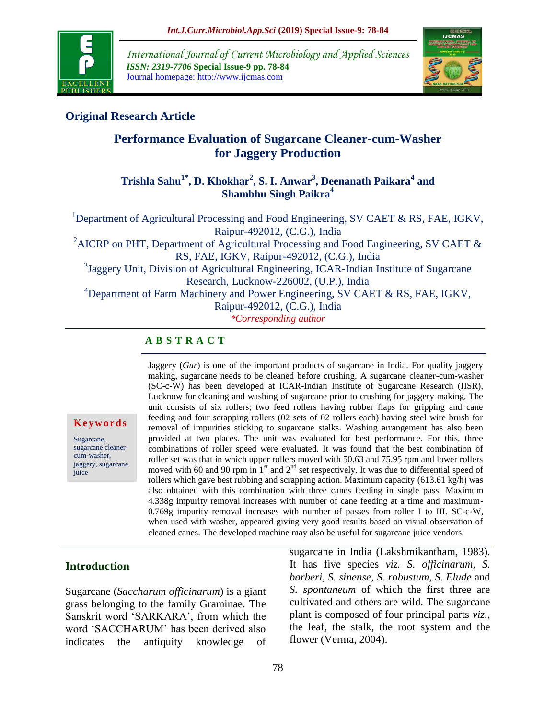

*International Journal of Current Microbiology and Applied Sciences ISSN: 2319-7706* **Special Issue-9 pp. 78-84** Journal homepage: http://www.ijcmas.com



## **Original Research Article**

# **Performance Evaluation of Sugarcane Cleaner-cum-Washer for Jaggery Production**

## **Trishla Sahu1\*, D. Khokhar<sup>2</sup> , S. I. Anwar<sup>3</sup> , Deenanath Paikara<sup>4</sup> and Shambhu Singh Paikra<sup>4</sup>**

<sup>1</sup>Department of Agricultural Processing and Food Engineering, SV CAET & RS, FAE, IGKV, Raipur-492012, (C.G.), India <sup>2</sup>AICRP on PHT, Department of Agricultural Processing and Food Engineering, SV CAET  $\&$ RS, FAE, IGKV, Raipur-492012, (C.G.), India <sup>3</sup>Jaggery Unit, Division of Agricultural Engineering, ICAR-Indian Institute of Sugarcane Research, Lucknow-226002, (U.P.), India <sup>4</sup>Department of Farm Machinery and Power Engineering, SV CAET & RS, FAE, IGKV, Raipur-492012, (C.G.), India *\*Corresponding author*

### **A B S T R A C T**

**K e y w o r d s**

Sugarcane, sugarcane cleanercum-washer, jaggery, sugarcane juice

Jaggery (*Gur*) is one of the important products of sugarcane in India. For quality jaggery making, sugarcane needs to be cleaned before crushing. A sugarcane cleaner-cum-washer (SC-c-W) has been developed at ICAR-Indian Institute of Sugarcane Research (IISR), Lucknow for cleaning and washing of sugarcane prior to crushing for jaggery making. The unit consists of six rollers; two feed rollers having rubber flaps for gripping and cane feeding and four scrapping rollers (02 sets of 02 rollers each) having steel wire brush for removal of impurities sticking to sugarcane stalks. Washing arrangement has also been provided at two places. The unit was evaluated for best performance. For this, three combinations of roller speed were evaluated. It was found that the best combination of roller set was that in which upper rollers moved with 50.63 and 75.95 rpm and lower rollers moved with 60 and 90 rpm in  $1<sup>st</sup>$  and  $2<sup>nd</sup>$  set respectively. It was due to differential speed of rollers which gave best rubbing and scrapping action. Maximum capacity  $(613.61 \text{ kg/h})$  was also obtained with this combination with three canes feeding in single pass. Maximum 4.338g impurity removal increases with number of cane feeding at a time and maximum-0.769g impurity removal increases with number of passes from roller I to III. SC-c-W, when used with washer, appeared giving very good results based on visual observation of cleaned canes. The developed machine may also be useful for sugarcane juice vendors.

### **Introduction**

Sugarcane (*Saccharum officinarum*) is a giant grass belonging to the family Graminae. The Sanskrit word "SARKARA", from which the word "SACCHARUM" has been derived also indicates the antiquity knowledge of sugarcane in India (Lakshmikantham, 1983). It has five species *viz. S. officinarum*, *S. barberi, S. sinense, S. robustum, S. Elude* and *S. spontaneum* of which the first three are cultivated and others are wild. The sugarcane plant is composed of four principal parts *viz.*, the leaf, the stalk, the root system and the flower (Verma, 2004).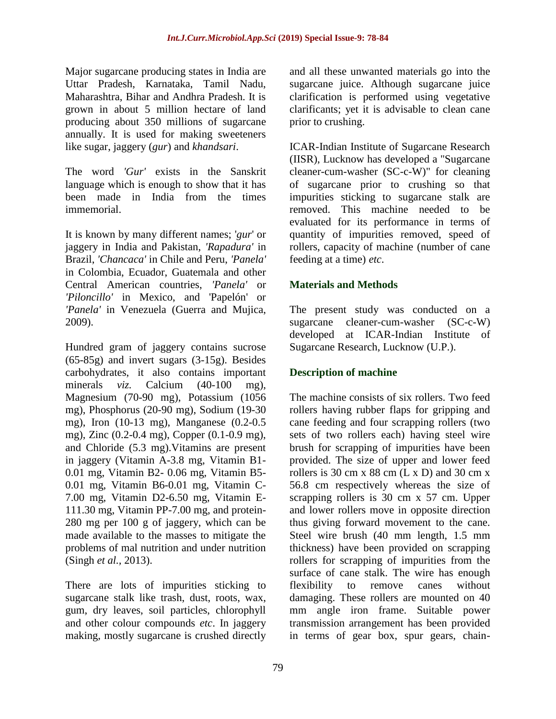Major sugarcane producing states in India are Uttar Pradesh, Karnataka, Tamil Nadu, Maharashtra, Bihar and Andhra Pradesh. It is grown in about 5 million hectare of land producing about 350 millions of sugarcane annually. It is used for making sweeteners like sugar, jaggery (*gur*) and *khandsari*.

The word *'Gur'* exists in the Sanskrit language which is enough to show that it has been made in India from the times immemorial.

It is known by many different names; '*gur*' or jaggery in India and Pakistan, *'Rapadura'* in Brazil, *'Chancaca'* in Chile and Peru, *'Panela'* in Colombia, Ecuador, Guatemala and other Central American countries, *'Panela'* or *'Piloncillo'* in Mexico, and 'Papelón' or *'Panela'* in Venezuela (Guerra and Mujica, 2009).

Hundred gram of jaggery contains sucrose (65-85g) and invert sugars (3-15g). Besides carbohydrates, it also contains important minerals *viz.* Calcium (40-100 mg), Magnesium (70-90 mg), Potassium (1056 mg), Phosphorus (20-90 mg), Sodium (19-30 mg), Iron (10-13 mg), Manganese (0.2-0.5 mg), Zinc (0.2-0.4 mg), Copper (0.1-0.9 mg), and Chloride (5.3 mg).Vitamins are present in jaggery (Vitamin A-3.8 mg, Vitamin B1- 0.01 mg, Vitamin B2- 0.06 mg, Vitamin B5- 0.01 mg, Vitamin B6-0.01 mg, Vitamin C-7.00 mg, Vitamin D2-6.50 mg, Vitamin E-111.30 mg, Vitamin PP-7.00 mg, and protein-280 mg per 100 g of jaggery, which can be made available to the masses to mitigate the problems of mal nutrition and under nutrition (Singh *et al.,* 2013).

There are lots of impurities sticking to sugarcane stalk like trash, dust, roots, wax, gum, dry leaves, soil particles, chlorophyll and other colour compounds *etc*. In jaggery making, mostly sugarcane is crushed directly and all these unwanted materials go into the sugarcane juice. Although sugarcane juice clarification is performed using vegetative clarificants; yet it is advisable to clean cane prior to crushing.

ICAR-Indian Institute of Sugarcane Research (IISR), Lucknow has developed a "Sugarcane cleaner-cum-washer (SC-c-W)" for cleaning of sugarcane prior to crushing so that impurities sticking to sugarcane stalk are removed. This machine needed to be evaluated for its performance in terms of quantity of impurities removed, speed of rollers, capacity of machine (number of cane feeding at a time) *etc*.

## **Materials and Methods**

The present study was conducted on a sugarcane cleaner-cum-washer (SC-c-W) developed at ICAR-Indian Institute of Sugarcane Research, Lucknow (U.P.).

# **Description of machine**

The machine consists of six rollers. Two feed rollers having rubber flaps for gripping and cane feeding and four scrapping rollers (two sets of two rollers each) having steel wire brush for scrapping of impurities have been provided. The size of upper and lower feed rollers is 30 cm x 88 cm  $(L \times D)$  and 30 cm x 56.8 cm respectively whereas the size of scrapping rollers is 30 cm x 57 cm. Upper and lower rollers move in opposite direction thus giving forward movement to the cane. Steel wire brush (40 mm length, 1.5 mm thickness) have been provided on scrapping rollers for scrapping of impurities from the surface of cane stalk. The wire has enough flexibility to remove canes without damaging. These rollers are mounted on 40 mm angle iron frame. Suitable power transmission arrangement has been provided in terms of gear box, spur gears, chain-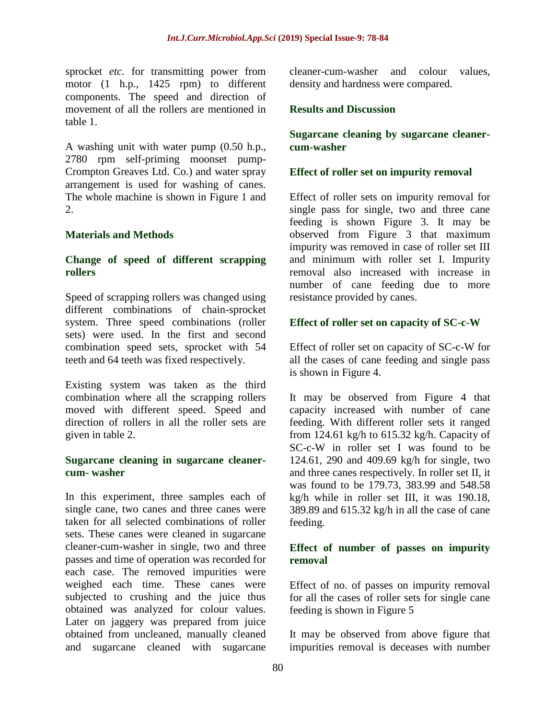sprocket *etc*. for transmitting power from motor (1 h.p., 1425 rpm) to different components. The speed and direction of movement of all the rollers are mentioned in table 1.

A washing unit with water pump (0.50 h.p., 2780 rpm self-priming moonset pump-Crompton Greaves Ltd. Co.) and water spray arrangement is used for washing of canes. The whole machine is shown in Figure 1 and 2.

### **Materials and Methods**

#### **Change of speed of different scrapping rollers**

Speed of scrapping rollers was changed using different combinations of chain-sprocket system. Three speed combinations (roller sets) were used. In the first and second combination speed sets, sprocket with 54 teeth and 64 teeth was fixed respectively.

Existing system was taken as the third combination where all the scrapping rollers moved with different speed. Speed and direction of rollers in all the roller sets are given in table 2.

#### **Sugarcane cleaning in sugarcane cleanercum- washer**

In this experiment, three samples each of single cane, two canes and three canes were taken for all selected combinations of roller sets. These canes were cleaned in sugarcane cleaner-cum-washer in single, two and three passes and time of operation was recorded for each case. The removed impurities were weighed each time. These canes were subjected to crushing and the juice thus obtained was analyzed for colour values. Later on jaggery was prepared from juice obtained from uncleaned, manually cleaned and sugarcane cleaned with sugarcane

cleaner-cum-washer and colour values, density and hardness were compared.

#### **Results and Discussion**

#### **Sugarcane cleaning by sugarcane cleanercum-washer**

#### **Effect of roller set on impurity removal**

Effect of roller sets on impurity removal for single pass for single, two and three cane feeding is shown Figure 3. It may be observed from Figure 3 that maximum impurity was removed in case of roller set III and minimum with roller set I. Impurity removal also increased with increase in number of cane feeding due to more resistance provided by canes.

#### **Effect of roller set on capacity of SC-c-W**

Effect of roller set on capacity of SC-c-W for all the cases of cane feeding and single pass is shown in Figure 4.

It may be observed from Figure 4 that capacity increased with number of cane feeding. With different roller sets it ranged from 124.61 kg/h to 615.32 kg/h. Capacity of SC-c-W in roller set I was found to be 124.61, 290 and 409.69 kg/h for single, two and three canes respectively. In roller set II, it was found to be 179.73, 383.99 and 548.58 kg/h while in roller set III, it was 190.18, 389.89 and 615.32 kg/h in all the case of cane feeding.

#### **Effect of number of passes on impurity removal**

Effect of no. of passes on impurity removal for all the cases of roller sets for single cane feeding is shown in Figure 5

It may be observed from above figure that impurities removal is deceases with number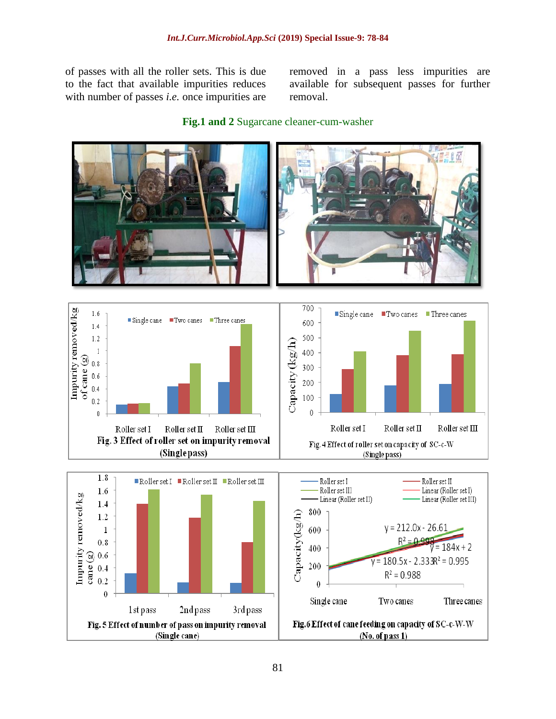of passes with all the roller sets. This is due to the fact that available impurities reduces with number of passes *i.e.* once impurities are removed in a pass less impurities are available for subsequent passes for further removal.



#### **Fig.1 and 2** Sugarcane cleaner-cum-washer



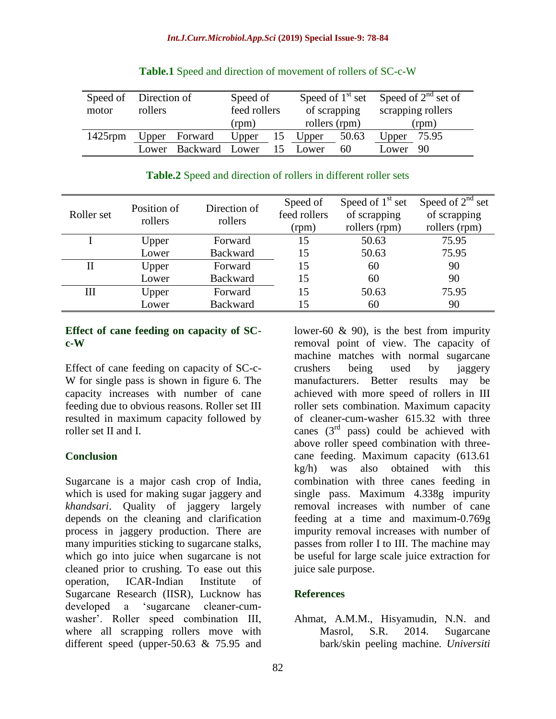|            | Speed of Direction of |                | Speed of     |  | Speed of $1st$ set |       | Speed of $2^{nd}$ set of |       |
|------------|-----------------------|----------------|--------------|--|--------------------|-------|--------------------------|-------|
| motor      | rollers               |                | feed rollers |  | of scrapping       |       | scrapping rollers        |       |
|            |                       |                | (rpm)        |  | rollers (rpm)      |       | (rpm)                    |       |
| $1425$ rpm |                       | Upper Forward  | Upper        |  | 15 Upper           | 50.63 | Upper                    | 75.95 |
|            | Lower                 | Backward Lower |              |  | Lower              | 60    | Lower                    | - 90  |

|  |  |  | <b>Table.1</b> Speed and direction of movement of rollers of SC-c-W |  |  |
|--|--|--|---------------------------------------------------------------------|--|--|
|--|--|--|---------------------------------------------------------------------|--|--|

### **Table.2** Speed and direction of rollers in different roller sets

| Roller set | Position of<br>rollers | Direction of<br>rollers | Speed of<br>feed rollers<br>(rpm) | Speed of $1st$ set<br>of scrapping<br>rollers (rpm) | Speed of $2^{nd}$ set<br>of scrapping<br>rollers (rpm) |
|------------|------------------------|-------------------------|-----------------------------------|-----------------------------------------------------|--------------------------------------------------------|
|            | Upper                  | Forward                 | 15                                | 50.63                                               | 75.95                                                  |
|            | Lower                  | <b>Backward</b>         | 15                                | 50.63                                               | 75.95                                                  |
| П          | Upper                  | Forward                 | 15                                | 60                                                  | 90                                                     |
|            | Lower                  | <b>Backward</b>         | 15                                | 60                                                  | 90                                                     |
| Ш          | Upper                  | Forward                 | 15                                | 50.63                                               | 75.95                                                  |
|            | Lower                  | <b>Backward</b>         | 15                                | 60                                                  | 90                                                     |

#### **Effect of cane feeding on capacity of SCc-W**

Effect of cane feeding on capacity of SC-c-W for single pass is shown in figure 6. The capacity increases with number of cane feeding due to obvious reasons. Roller set III resulted in maximum capacity followed by roller set II and I.

### **Conclusion**

Sugarcane is a major cash crop of India, which is used for making sugar jaggery and *khandsari*. Quality of jaggery largely depends on the cleaning and clarification process in jaggery production. There are many impurities sticking to sugarcane stalks, which go into juice when sugarcane is not cleaned prior to crushing. To ease out this operation, ICAR-Indian Institute of Sugarcane Research (IISR), Lucknow has developed a "sugarcane cleaner-cumwasher". Roller speed combination III, where all scrapping rollers move with different speed (upper-50.63 & 75.95 and

lower-60 & 90), is the best from impurity removal point of view. The capacity of machine matches with normal sugarcane crushers being used by jaggery manufacturers. Better results may be achieved with more speed of rollers in III roller sets combination. Maximum capacity of cleaner-cum-washer 615.32 with three canes  $(3<sup>rd</sup>$  pass) could be achieved with above roller speed combination with threecane feeding. Maximum capacity (613.61 kg/h) was also obtained with this combination with three canes feeding in single pass. Maximum 4.338g impurity removal increases with number of cane feeding at a time and maximum-0.769g impurity removal increases with number of passes from roller I to III. The machine may be useful for large scale juice extraction for juice sale purpose.

## **References**

Ahmat, A.M.M., Hisyamudin, N.N. and Masrol, S.R. 2014. Sugarcane bark/skin peeling machine*. Universiti*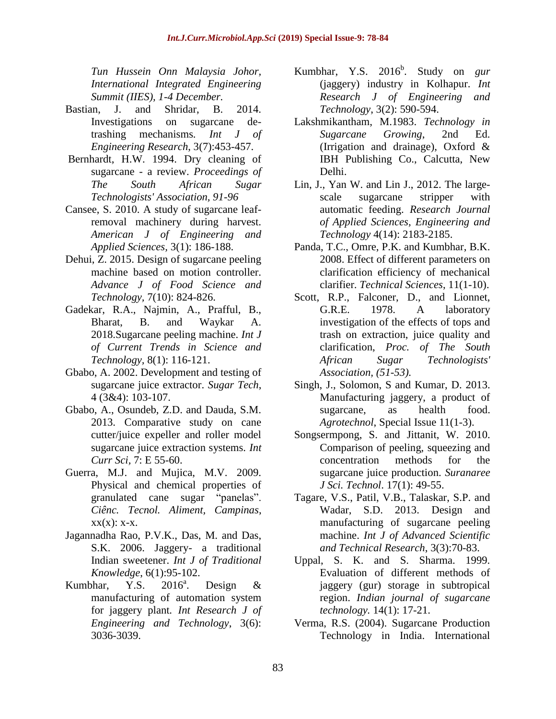*Tun Hussein Onn Malaysia Johor, International Integrated Engineering Summit (IIES), 1-4 December.*

- Bastian, J. and Shridar, B. 2014. Investigations on sugarcane detrashing mechanisms*. Int J of Engineering Research*, 3(7):453-457.
- Bernhardt, H.W. 1994. Dry cleaning of sugarcane - a review. *Proceedings of The South African Sugar Technologists' Association, 91-96*
- Cansee, S. 2010. A study of sugarcane leafremoval machinery during harvest. *American J of Engineering and Applied Sciences,* 3(1): 186-188.
- Dehui, Z. 2015. Design of sugarcane peeling machine based on motion controller. *Advance J of Food Science and Technology,* 7(10): 824-826.
- Gadekar, R.A., Najmin, A., Prafful, B., Bharat, B. and Waykar A. 2018.Sugarcane peeling machine. *Int J of Current Trends in Science and Technology,* 8(1): 116-121.
- Gbabo, A. 2002. Development and testing of sugarcane juice extractor. *Sugar Tech*, 4 (3&4): 103-107.
- Gbabo, A., Osundeb, Z.D. and Dauda, S.M. 2013. Comparative study on cane cutter/juice expeller and roller model sugarcane juice extraction systems. *Int Curr Sci,* 7: E 55-60.
- Guerra, M.J. and Mujica, M.V. 2009. Physical and chemical properties of granulated cane sugar "panelas". *Ciênc. Tecnol. Aliment, Campinas*,  $XX(X)$ :  $X-X$ .
- Jagannadha Rao, P.V.K., Das, M. and Das, S.K. 2006. Jaggery- a traditional Indian sweetener. *Int J of Traditional Knowledge*, 6(1):95-102.
- Kumbhar, Y.S.  $2016^a$ . Design & manufacturing of automation system for jaggery plant*. Int Research J of Engineering and Technology*, 3(6): 3036-3039.
- Kumbhar, Y.S. 2016<sup>b</sup>. Study on *gur* (jaggery) industry in Kolhapur. *Int Research J of Engineering and Technology*, 3(2): 590-594.
- Lakshmikantham, M.1983. *Technology in Sugarcane Growing*, 2nd Ed. (Irrigation and drainage), Oxford & IBH Publishing Co., Calcutta, New Delhi.
- Lin, J., Yan W. and Lin J., 2012. The largescale sugarcane stripper with automatic feeding. *Research Journal of Applied Sciences, Engineering and Technology* 4(14): 2183-2185.
- Panda, T.C., Omre, P.K. and Kumbhar, B.K. 2008. Effect of different parameters on clarification efficiency of mechanical clarifier. *Technical Sciences*, 11(1-10).
- Scott, R.P., Falconer, D., and Lionnet, G.R.E. 1978. A laboratory investigation of the effects of tops and trash on extraction, juice quality and clarification, *Proc. of The South African Sugar Technologists' Association, (51-53).*
- Singh, J., Solomon, S and Kumar, D. 2013. Manufacturing jaggery, a product of sugarcane, as health food. *Agrotechnol*, Special Issue 11(1-3).
- Songsermpong, S. and Jittanit, W. 2010. Comparison of peeling, squeezing and concentration methods for the sugarcane juice production. *Suranaree J Sci. Technol*. 17(1): 49-55.
- Tagare, V.S., Patil, V.B., Talaskar, S.P. and Wadar, S.D. 2013. Design and manufacturing of sugarcane peeling machine. *Int J of Advanced Scientific and Technical Research*, 3(3):70-83.
- Uppal, S. K. and S. Sharma. 1999. Evaluation of different methods of jaggery (gur) storage in subtropical region. *Indian journal of sugarcane technology.* 14(1): 17-21.
- Verma, R.S. (2004). Sugarcane Production Technology in India. International